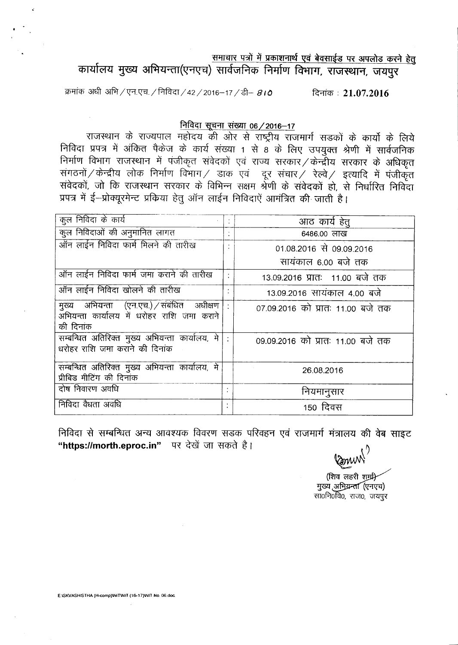समाचार पत्रों में प्रकाशनार्थ एवं बेवसाईड पर अपलोड करने हेतु

कार्यालय मुख्य अभियन्ता(एनएच) सार्वजनिक निर्माण विभाग, राजस्थान, जयपुर

क्रमांक अधी अभि / एन.एच. / निविदा / 42 / 2016-17 / डी- 810 दिनांक: 21.07.2016

# निविदा सूचना संख्या 06 / 2016-17

राजस्थान के राज्यपाल महोदय की ओर से राष्ट्रीय राजमार्ग सड़कों के कार्यों के लिये निविदा प्रपत्र में अंकित पैकेज के कार्य संख्या 1 से 8 के लिए उपयुक्त श्रेणी में सार्वजनिक निर्माण विभाग राजस्थान में पंजीकृत संवेदकों एवं राज्य सरकार / केन्द्रीय सरकार के अधिकृत संगठनों / केन्द्रीय लोक निर्माण विभाग / डाक एवं दूर संचार / रेल्वे / इत्यादि में पंजीकृत संवेदकों, जो कि राजस्थान सरकार के विभिन्न सक्षम श्रेणी के संवेदकों हो, से निर्धारित निविदा प्रपत्र में ई-प्रोक्यूरमेन्ट प्रकिया हेतु ऑन लाईन निविदाऐं आमंत्रित की जाती है।

| कुल निविदा के कार्य                                                                                         | आठ कार्य हेतू                     |
|-------------------------------------------------------------------------------------------------------------|-----------------------------------|
|                                                                                                             |                                   |
| कुल निविदाओं की अनुमानित लागत                                                                               | 6486.00 लाख                       |
| ऑन लाईन निविदा फार्म मिलने की तारीख                                                                         | 01.08.2016 से 09.09.2016          |
|                                                                                                             | सायंकाल 6.00 बजे तक               |
| ऑन लाईन निविदा फार्म जमा कराने की तारीख                                                                     | 13.09.2016 प्रातः 11.00 बजे तक    |
| ऑन लाईन निविदा खोलने की तारीख                                                                               | 13.09.2016 सायंकाल 4.00 बजे       |
| मुख्य अभियन्ता (एन.एच.) / संबंधित अधीक्षण  <br>.<br>अभियन्ता कार्यालय में धरोहर राशि जमा कराने<br>की दिनांक | 07.09.2016 को प्रातः 11.00 बजे तक |
| सम्बन्धित अतिरिक्त मुख्य अभियन्ता कार्यालय, मे<br>धरोहर राशि जमा कराँने की दिनांक                           | 09.09.2016 को प्रातः 11.00 बजे तक |
| सम्बन्धित अतिरिक्त मुख्य अभियन्ता कार्यालय, मे<br>प्रीबिड मीटिंग की दिनांक                                  | 26.08.2016                        |
| दोष निवारण अवधि                                                                                             | नियमानुसार                        |
| निविदा वैधता अवधि                                                                                           | 150 दिवस                          |

निविदा से सम्बन्धित अन्य आवश्यक विवरण सडक परिवहन एवं राजमार्ग मंत्रालय की वेब साइट "https://morth.eproc.in" पर देखें जा सकते है।

Comm<sup>'</sup>

(शिव लहरी शम्री) मुख्य अभियन्ता (एनएच) सा0नि0वि0, राज0, जयपूर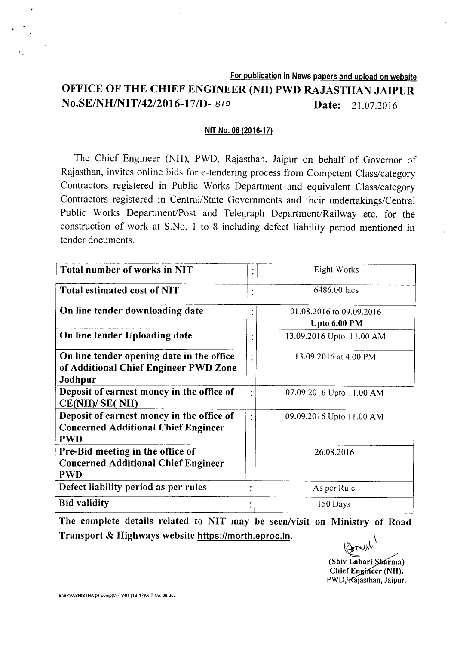# For publication in News papers and upload on website OFFICE OF THE CHIEF ENGINEER (NH) PWD RAJASTHAN JAIPUR **No.SE/NH/NIT/42/2016-17/D-** 810 **Date:** 21.07.2016

#### NIT No. 06 (2016·17)

The Chief Engineer (NH), PWD, Rajasthan, Jaipur on behalf of Governor of Rajasthan, invites online bids for e-tendering process from Competent Class/category Contractors registered in Public Works Department and equivalent Class/category Contractors registered in Central/State Governments and their undertakings/Central Public Works Department/Post and Telegraph Department/Railway etc. for the construction of work at S.No. 1 to 8 including defect liability period mentioned in tender documents.

| Total number of works in NIT               | $\bullet$ | Eight Works              |
|--------------------------------------------|-----------|--------------------------|
| Total estimated cost of NIT                |           | 6486.00 lacs             |
| On line tender downloading date            | $\bullet$ | 01.08.2016 to 09.09.2016 |
|                                            |           | Upto 6.00 PM             |
| On line tender Uploading date              |           | 13.09.2016 Upto 11.00 AM |
| On line tender opening date in the office  |           | 13.09.2016 at 4.00 PM    |
| of Additional Chief Engineer PWD Zone      |           |                          |
| Jodhpur                                    |           |                          |
| Deposit of earnest money in the office of  |           | 07.09.2016 Upto 11.00 AM |
| CE(NH)/SE(NH)                              |           |                          |
| Deposit of earnest money in the office of  | $\bullet$ | 09.09.2016 Upto 11.00 AM |
| <b>Concerned Additional Chief Engineer</b> |           |                          |
| <b>PWD</b>                                 |           |                          |
| Pre-Bid meeting in the office of           |           | 26.08.2016               |
| <b>Concerned Additional Chief Engineer</b> |           |                          |
| PWD                                        |           |                          |
| Defect liability period as per rules       | ٠<br>٠    | As per Rule              |
| <b>Bid validity</b>                        |           | 150 Days                 |

The complete details related to NIT may be seen/visit on Ministry of Road Transport & Highways website https://morth.eproc.in.

(Shiv Lahari Sharma)

Chief Engineer (NH), PWD, Rajasthan, Jaipur.

E:ISKVASHISTHA (H-comp)\NIT\NIT (16-17)\NIT No. 06.doc.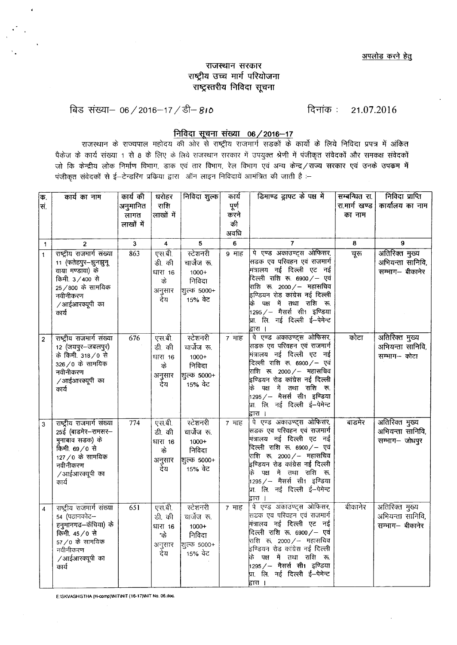# राजस्थान सरकार राष्ट्रीय उच्च मार्ग परियोजना राष्ट्रस्तरीय निविदा सूचना

बिड संख्या– 06/2016–17/डी– 810<br>विजयान 21.07.2016

# <u>निविदा सूचना संख्या 06/2016-17</u>

राजस्थान के राज्यपाल महोदय की ओर से राष्ट्रीय राजमार्ग सड़कों के कार्यो के लिये निविदा प्रपत्र में अंकित पैकेज के कार्य संख्या 1 से 8 के लिए के लिये राजस्थान सरकार में उपयुक्त श्रेणी में पंजीकृत संवेदकों और समकक्ष संवेदकों जो कि केन्द्रीय लोक निर्माण विभाग, डाक एवं तार विभाग, रेल विभाग एवं अन्य केन्द्र / राज्य सरकार एवं उनके उपक्रम में पंजीकृत संवेदकों से ई-टेन्डरिंग प्रक्रिया द्वारा ऑन लाइन निविदायें आमंत्रित की जाती है :--

| क.                      | कार्य का नाम                                                                                                                                        | कार्य की         | घरोहर                                                | निविदा शुल्क                                                                | कार्य         | डिमाण्ड ड्राफ्ट के पक्ष में                                                                                                                                                                                                                                                                             | सम्बन्धित रा. | निविदा प्राप्ति                                       |
|-------------------------|-----------------------------------------------------------------------------------------------------------------------------------------------------|------------------|------------------------------------------------------|-----------------------------------------------------------------------------|---------------|---------------------------------------------------------------------------------------------------------------------------------------------------------------------------------------------------------------------------------------------------------------------------------------------------------|---------------|-------------------------------------------------------|
| ल.                      |                                                                                                                                                     | अनुमानित         | राशि                                                 |                                                                             | पूर्ण<br>करने |                                                                                                                                                                                                                                                                                                         | रा.मार्ग खण्ड | कार्यालय का नाम                                       |
|                         |                                                                                                                                                     | लागत             | लाखों में                                            |                                                                             |               |                                                                                                                                                                                                                                                                                                         | का नाम        |                                                       |
|                         |                                                                                                                                                     | लाखों में        |                                                      |                                                                             | की            |                                                                                                                                                                                                                                                                                                         |               |                                                       |
|                         |                                                                                                                                                     |                  |                                                      |                                                                             | अवधि          |                                                                                                                                                                                                                                                                                                         |               |                                                       |
| $\mathbf 1$             | $\overline{2}$                                                                                                                                      | 3                | $\overline{\mathbf{4}}$                              | 5                                                                           | 6             | 7                                                                                                                                                                                                                                                                                                       | 8             | 9                                                     |
| $\overline{1}$          | राष्ट्रीय राजमार्ग संख्या<br>11 (फतेहपुर–झुनझुनू<br>वाया मण्डावा) के<br>किमी. 3/400 से<br>25 / 800 के सामयिक<br>नवीनीकरण<br>/आईआरक्यूपी का<br>कार्य | 863              | एस.बी.<br>डी. की<br>धारा 16<br>के<br>अनुसार<br>र्देय | स्टेशनरी<br>चार्जेज रू.<br>$1000+$<br>निविदा<br>शूल्क 5000+<br>15% वेट      | 9 माह         | पे एण्ड अकाउण्टुस ओफिसर,<br>सिडक एव परिवहन एवं राजमार्ग<br>मंत्रालय नई दिल्ली एट नई<br>.<br>दिल्ली राशि रू. 6900 ⁄ – एवं<br>राशि रू. 2000 /— महासचिव<br>इण्डियन रोड कांग्रेस नई दिल्ली<br>के पक्ष में तथा राशि रू.<br>1295 / – मैसर्स सी1 इण्डिया<br>प्रा. लि. नई दिल्ली ई--पेमेन्ट<br>द्वारा ।         | चूरू          | अतिरिक्त मुख्य<br>अभियन्ता सानिवि,<br>सम्भाग– बीकानेर |
| $\sqrt{2}$              | राष्ट्रीय राजमार्ग संख्या<br>12 (जयपुर-जबलपुर)<br>के किमी. 318/0 से<br>326/0 के सामयिक<br>नवीनीकरण<br>/आईआरक्यूपी का<br>कार्य                       | 676              | एस.बी.<br>डी. की<br>धारा 16<br>के<br>अनुसार<br>र्देय | स्टेशनरी<br>चार्जेज रू.<br>$1000+$<br>निविदा<br>शूल्क 5000+<br>.<br>15% वेट | 7 माह         | पे एण्ड अकाउण्ट्स ओफिसर,<br>सिडक एव परिवहन एवं राजमार्ग<br>.<br>मंत्रालय नई दिल्ली एट नई<br>दिल्ली राशि रू. 6900 ⁄ – एवं<br>राशि रू. 2000 ⁄ – महासचिव<br>इण्डियन रोड कांग्रेस नई दिल्ली<br>के पक्ष में तथा राशि रू.<br>1295 / – मैसर्स सी1 इण्डिया<br>प्रा. लि. नई दिल्ली ई-पेमेन्ट<br>द्वारा ।         | कोटा          | अतिरिक्त मुख्य<br>अभियन्ता सानिवि,<br>सम्भाग- कोटा    |
| $\overline{\mathbf{3}}$ | राष्ट्रीय राजमार्ग संख्या<br>25ई (बाडमेर-रामसर-<br>मुनाबाव सडक) के<br>किमी. 69/0 से<br>127 /0 के सामयिक<br>नवीनीकरण<br>/आईआरक्यूपी का<br>कार्य      | 774              | एस.बी.<br>डी. की<br>धारा 16<br>के<br>अनुसार<br>र्देय | स्टेशनरी<br>चार्जेज रू.<br>$1000+$<br>निविदा<br>शुल्क 5000+<br>,<br>15% वेट | 7 माह         | पे एण्ड अकाउण्ट्स ओफिसर,<br>सिडक एव परिवहन एवं राजमार्ग<br>.<br>मंत्रालय नई दिल्ली एट नई<br>दिल्ली राशि रु. 6900 $/-$ एवं<br>राशि रू. 2000 ⁄ – महासचिव<br>.<br>इण्डियन रोड कांग्रेस नई दिल्ली<br>के पक्ष में तथा राशि रू.<br>1295 / – मैसर्स सी1 इण्डिया<br> प्रा. लि. नई दिल्ली ई--पेमेन्ट<br>द्वारा । | बाडमेर        | अतिरिक्त मुख्य<br>अभियन्ता सानिवि,<br>सम्भाग- जोधपुर  |
| 4                       | राष्ट्रीय राजमार्ग संख्या<br>54 (पठानकोट–<br>हनुमानगढ-केंचिया) के<br>किमी. 45/0 से<br>57/0 के सामयिक<br>नवीनीकरण<br>/आईआरक्यूपी का<br>कार्य         | $\overline{651}$ | एस.बी.<br>डी. की<br>धारा 16<br>के<br>अनुसार<br>देय   | स्टेशनरी<br>चार्जेज रू.<br>$1000+$<br>निविदा<br>शिल्क 5000+<br>15% वेट      | 7 माह         | पे एण्ड अकाउण्ट्स ओफिसर,<br>सिडक एव परिवहन एवं राजमार्ग<br>मंत्रालय नई दिल्ली एट नई<br>दिल्ली राशि रू. 6900/- एवं<br>राशि रू. 2000 ⁄ – महासचिव<br>इण्डियन रोड कांग्रेस नई दिल्ली<br>पक्ष में तथा राशि रू.<br>के<br>।295 ⁄ – मैसर्स सी1 इण्डिया<br>.<br>प्रा. लि. नई दिल्ली ई–पेमेन्ट<br>द्वारा ।        | बीकानेर       | अतिरिक्त मुख्य<br>अभियन्ता सानिवि,<br>सम्भाग– बीकानेर |

E:ISKVASHISTHA (H-comp)\NIT\NIT (16-17)\NIT No. 06.doc.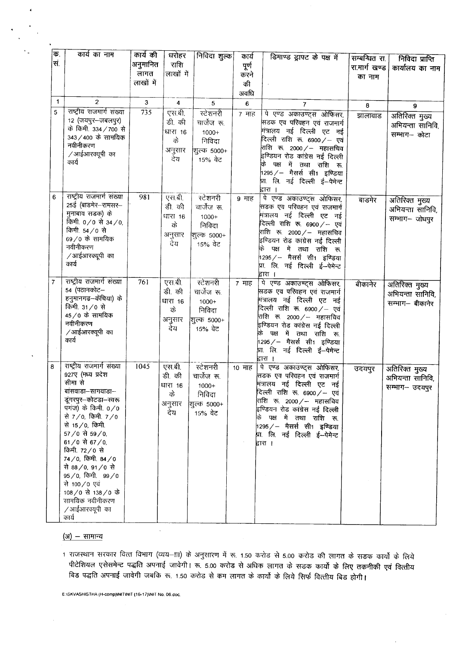| क.        | कार्य का नाम                                   | कार्य की  | धरोहर            | निविदा शुल्क      | कार्य            | डिमाण्ड ड्राफ्ट के पक्ष में                                  | सम्बन्धित रा. | निविदा प्राप्ति  |
|-----------|------------------------------------------------|-----------|------------------|-------------------|------------------|--------------------------------------------------------------|---------------|------------------|
| सं.       |                                                | अनुमानित  | राशि             |                   | पूर्ण            |                                                              | रा.मार्ग खण्ड | कार्यालय का नाम  |
|           |                                                | लागत      | लाखों में        |                   | करने             |                                                              | का नाम        |                  |
|           |                                                | लाखों में |                  |                   | की               |                                                              |               |                  |
|           |                                                |           |                  |                   | अवधि             |                                                              |               |                  |
| 1         | $\overline{c}$                                 | 3         | 4                | 5                 | $\boldsymbol{6}$ | $\overline{7}$                                               | 8             | 9                |
| 5         | राष्ट्रीय राजमार्ग संख्या                      | 735       | एस.बी.           | स्टेशनरी          | 7 माह            | पे एण्ड अकाउण्ट्स ओफिसर,                                     | झालावाड       | अतिरिक्त मुख्य   |
|           | 12 (जयपुर–जबलपुर)<br>के किमी. 334 / 700 से     |           | डी. की           | चार्जेज रू.       |                  | सिडक एव परिवहन एवं राजमार्ग                                  |               | अभियन्ता सानिवि, |
|           | 343/400 के सामयिक                              |           | धारा 16          | 1000+             |                  | मंत्रालय नई दिल्ली एट नई                                     |               | सम्भाग– कोटा     |
|           | नवीनीकरण                                       |           | के               | निविदा            |                  | दिल्ली राशि रू. 6900 ⁄ – एवं                                 |               |                  |
|           | /आईआरक्यूपी का                                 |           | अनुसार           | शूल्क 5000+       |                  | राशि रू. 2000 ⁄ – महासचिव<br>इण्डियन रोड कांग्रेस नई दिल्ली  |               |                  |
|           | कार्य                                          |           | देय              | 15% वेट           |                  | पक्ष में तथा राशि रू.                                        |               |                  |
|           |                                                |           |                  |                   |                  | 1295 ⁄ – मैसर्स सी1 इण्डिया                                  |               |                  |
|           |                                                |           |                  |                   |                  | प्रा. लि. नई दिल्ली ई—पेमेन्ट                                |               |                  |
|           | राष्ट्रीय राजमार्ग संख्या                      |           |                  |                   |                  | द्वारा ।                                                     |               |                  |
| 6         | 25ई (बाडमेर-रामसर-                             | 981       | एस.बी.<br>डी. की | स्टेशनरी          | 9 माह            | पे एण्ड अकाउण्ट्स ओफिसर,                                     | बाडमेर        | अतिरिक्त मुख्य   |
|           | मुनाबाव सडक) के                                |           |                  | चार्जेज रू.       |                  | सिडक एव परिवहन एवं राजमार्ग<br>मित्रालय नई दिल्ली एट नई      |               | अभियन्ता सानिवि, |
|           | किमी. 0/0 से 34/0,                             |           | धारा 16<br>के    | $1000+$<br>निविदा |                  | दिल्ली राशि रू. 6900 $\diagup$ – एवं                         |               | सम्भाग- जोधपुर   |
|           | किमी. 54/0 से                                  |           | अनुसार           | शूल्क 5000+       |                  | राशि रू. 2000 ⁄ — महासचिव                                    |               |                  |
|           | 69/0 के सामयिक                                 |           | र्देय            | 15% वेट           |                  | इण्डियन रोड कांग्रेस नई दिल्ली                               |               |                  |
|           | नवीनीकरण                                       |           |                  |                   |                  | पक्ष में तथा राशि रू.<br>कि                                  |               |                  |
|           | ∕ आईआरक्यूपी का<br>कार्य                       |           |                  |                   |                  | 1295 ⁄ — मैसर्स सी1 इण्डिया                                  |               |                  |
|           |                                                |           |                  |                   |                  | प्रा. लि. नई दिल्ली ई—पेमेन्ट<br>द्वारा ।                    |               |                  |
| $\bar{7}$ | राष्ट्रीय राजमार्ग संख्या                      | 761       | एस.बी.           | स्टेशनरी          | 7 माह            | पे एण्ड अकाउण्ट्स ओफिसर,                                     | बीकानेर       | अतिरिक्त मुख्य   |
|           | 54 (पठानकोट–                                   |           | डी. की           | चार्जेज रू.       |                  | सिडक एव परिवहन एवं राजमार्ग                                  |               | अभियन्ता सानिवि, |
|           | हनुमानगढ-केंचिया) के                           |           | धारा 16          | $1000+$           |                  | मंत्रालय नई दिल्ली एट नई                                     |               | सम्भाग— बीकानेर  |
|           | किमी. 31/0 से<br>45/0 के सामयिक                |           | के               | निविदा            |                  | दिल्ली राशि रू. 6900 $\diagup$ — एवं                         |               |                  |
|           | नवीनीकरण                                       |           | अनुसार           | शूल्क 5000+       |                  | राशि रू. 2000 ⁄ -- महासचिव<br>इण्डियन रोड कांग्रेस नई दिल्ली |               |                  |
|           | /आईआरक्यूपी का                                 |           | देय              | 15% वेट           |                  | पक्ष में तथा राशि रू.<br>के                                  |               |                  |
|           | कार्य                                          |           |                  |                   |                  | 1295 / – मैसर्स सी1 इण्डिया                                  |               |                  |
|           |                                                |           |                  |                   |                  | प्रा. लि. नई दिल्ली ई—पेमेन्ट                                |               |                  |
|           |                                                |           |                  |                   |                  | द्वारा ।                                                     |               |                  |
| 8         | राष्ट्रीय राजमार्ग संख्या<br>927ए (मध्य प्रदेश | 1045      | एस.बी.           | स्टेशनरी          | 10 माह           | पे एण्ड अकाउण्ट्स ओफिसर                                      | उदयपुर        | अतिरिक्त मुख्य   |
|           | सीमा से                                        |           | डी. की           | चार्जेज रू.       |                  | सङक एव परिवहन एवं राजमार्ग<br>मंत्रालय नई दिल्ली एट नई       |               | अभियन्ता सानिवि, |
|           | बांसवाडा–सागवाडा–                              |           | धारा 16<br>के    | $1000+$<br>निविदा |                  | दिल्ली राशि रू. 6900/- एवं                                   |               | सम्भाग- उदयपुर   |
|           | डूंगरपुर–कोटडा–स्वरू                           |           | अनुसार           | शुल्क 5000+       |                  | राशि रू. 2000 ∕− महासचिव                                     |               |                  |
|           | पगंज) के किमी. $0/0$                           |           | देय              | 15% वेट           |                  | इण्डियन रोड कांग्रेस नई दिल्ली                               |               |                  |
|           | से 7/0, किमी. 7/0                              |           |                  |                   |                  | कि पक्ष में तथा राशि रू.                                     |               |                  |
|           | से 15/0, किमी.<br>57 / 0 से 59 / 0,            |           |                  |                   |                  | 1295 ⁄ – मैसर्स सी1 इण्डिया                                  |               |                  |
|           | 61/0 से 67/0,                                  |           |                  |                   |                  | प्रा लि. नई दिल्ली ई–-पेमेन्ट<br>द्वारा ।                    |               |                  |
|           | किमी. 72/0 से                                  |           |                  |                   |                  |                                                              |               |                  |
|           | 74/0, किमी. 84/0                               |           |                  |                   |                  |                                                              |               |                  |
|           | से 88/0, 91/0 से                               |           |                  |                   |                  |                                                              |               |                  |
|           | 95/0, किमी. 99/0                               |           |                  |                   |                  |                                                              |               |                  |
|           | से 100/0 एवं<br>108/0 से 138/0 के              |           |                  |                   |                  |                                                              |               |                  |
|           | सामयिक नवीनीकरण                                |           |                  |                   |                  |                                                              |               |                  |
|           | ∕ आईआरक्यूपी का                                |           |                  |                   |                  |                                                              |               |                  |
|           | कार्य                                          |           |                  |                   |                  |                                                              |               |                  |

#### (अ) - सामान्य

1 राजस्थान सरकार वित्त विभाग (व्यय–ाा) के अनुसारण में रू. 1.50 करोड से 5.00 करोड की लागत के सडक कार्यो के लिये पीटेशियल एसेसमेन्ट पद्धति अपनाई जावेगी। रू. 5.00 करोड से अधिक लागत के सडक कार्यो के लिए तकनीकी एवं वित्तीय ।<br>बिड पद्धति अपनाई जावेगी जबकि रू. 1.50 करोड से कम लागत के कार्यों के लिये सिर्फ वित्तीय बिड होगी।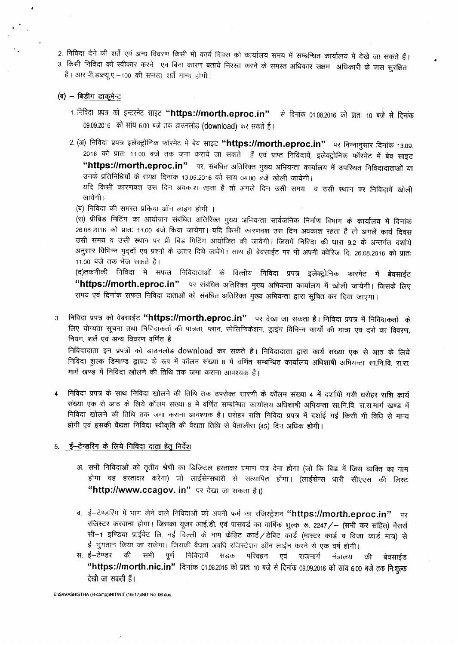- 2. निविदा देने की शर्ते एवं अन्य विवरण किसी भी कार्य दिवस को कार्यालय समय में सम्बन्धित कार्यालय में देखे जा सकते हैं।
- 3. किसी निविदा को स्वीकार करने एवं बिना कारण बताये निरस्त करने के समस्त अधिकार सक्षम अधिकारी के पास सुरक्षित है। आर.पी.डब्ल्यू.ए.-100 की समस्त शर्ते मान्य होगी।

#### $(d)$  – बिडींग डाकूमेन्ट

- 1. निविदा प्रपत्र को इन्टरनेट साइट **"https://morth.eproc.in"** से दिनांक 01.08.2016 को प्रातः 10 बजे से दिनांक 09.09.2016 को सांय 6.00 बजे तक डाउनलोड (download) कर सकते है।
- 2. (अ) निविदा प्रपत्र इलेक्ट्रोनिक फॉरमेट में बेव साइट "https://morth.eproc.in" पर निम्नानुसार दिनांक 13.09. 2016 को प्रातः 11.00 बजे तक जमा कराये जा सकते हैं एवं प्राप्त निविदायें, इलेक्ट्रोनिक फॉरमेट में बेव साइट "https://morth.eproc.in" पर, संबंधित अतिरिक्त मुख्य अभियन्ता कार्यालय में उपस्थित निविदादाताओं या उनके प्रतिनिधियों के समक्ष दिनांक 13.09.2016 को सांय 04.00 बजे खोली जायेगी।

यदि किसी कारणवश उस दिन अवकाश रहता है तो अगले दिन उसी समय व उसी स्थान पर निविदायें खोली जायेगी ।

(ब) निविदा की समस्त प्रक्रिया ऑन लाइन होगी ।

(स) प्रीबिड मिटिंग का आयोजन संबंधित अतिरिक्त मुख्य अभियन्ता सार्वजनिक निर्माण विभाग के कार्यालय में दिनांक 26.08.2016 को प्रातः 11.00 बजे किया जायेगा। यदि किसी कारणवश उस दिन अवकाश रहता है तो अगले कार्य दिवस उसी समय व उसी स्थान पर प्री–बिड मिटिंग आयोजित की जावेगी। जिसमें निविदा की धारा 9.2 के अन्तर्गत दर्शाये अनुसार विभिन्न मुद्दों एवं प्रश्नों के उत्तर दिये जावेंगे। साथ ही बेवसाईट पर भी अपनी क्वेरिज दि. 26.08.2016 को प्रातः 11.00 बजे तक भेज सकते है।

(द)तकनीकी निविदा में सफल निविदाताओं के वित्तीय निविदा प्रपत्र इलेक्ट्रोनिक फारमेट में बेवसाईट "https://morth.eproc.in" पर संबंधित अतिरिक्त मुख्य अभियन्ता कार्यालय में खोली जायेगी। जिसके लिए समय एवं दिनांक सफल निविदा दाताओं को संबंधित अतिरिक्त मुख्य अभियन्ता द्वारा सूचित कर दिया जाएगा।

3 निविदा प्रपत्र को वेबसाईट "https://morth.eproc.in" पर देखा जा सकता है। निविदा प्रपत्र में निविदाकर्ता के लिए योग्यता सूचना तथा निविदाकर्ता की पात्रता, प्लान, स्पेसिफिकेशन, ड्राइंग विभिन्न कार्यों की मात्रा एवं दरों का विवरण, नियम, शर्तें एवं अन्य विवरण वर्णित है।

~FclC:IC;I(j1 <sup>~</sup> <sup>~</sup> em '51\3'""1('11'5 download CJR <sup>~</sup> *t* <sup>I</sup> ~FclC:IC;I(j1 *&m <sup>~</sup> <sup>~</sup> <sup>~</sup> <sup>~</sup>* 3lTO *ct <sup>~</sup>* निविदा शल्क डिमाण्ड ड्राफ्ट के रूप में कॉलम संख्या 8 में वर्णित सम्बन्धित कार्यालय अधिशाषी अभियन्ता सा.नि.वि. रा.रा. मार्ग खण्ड में निविदा खोलने की तिथि तक जमा कराना आवश्यक है।

निविदा प्रपत्र के साथ निविदा खोलने की तिथि तक उपरोक्त सारणी के कॉलम संख्या 4 में दर्शायी गयी धरोहर राशि कार्य संख्या एक से आठ के लिये कॉलम संख्या 8 में वर्णित सम्बन्धित कार्यालय अधिशाषी अभियन्ता सा.नि.वि. रा.रा.मार्ग खण्ड में निविदा खोलने की तिथि तक जगा कराना आवश्यक है। धरोहर राशि निविदा प्रपत्र में दर्शाई गई किसी भी विधि से मान्य होगी एवं इसकी वैद्यता निविदा स्वीकृति की वैद्यता तिथि से पैतालीस (45) दिन अधिक होगी।

#### 5. ई-टेन्डरिंग के लिये निविदा दाता हेतू निर्देश

- अ. सभी निविदाओं को तृतीय श्रेणी का डिजिटल हस्ताक्षर प्रमाण पत्र देना होगा (जो कि बिड में जिस व्यक्ति का नाम होगा वह हस्ताक्षर करेगा) जो लाईसेन्सधारी से सत्यापित होगा। (लाईसेन्स धारी सीएएस की लिस्ट "http://www.ccagov. in" पर देखा जा सकता है।)
- ब. ई-टेण्डरिंग में भाग लेने वाले निविदाओं को अपनी फर्म का रजिस्ट्रेशन **"https://morth.eproc.in"** पर रजिस्टर करवाना होगा। जिसका यूजर आई.डी. एवं पासवर्ड का वार्षिक शुल्क रू. 2247 / - (सभी कर सहित) मैसर्स सी-1 इण्डिया प्राईवेट लि. नई दिल्ली के नाम केडिट कार्ड /डेबिट कार्ड (मास्टर कार्ड व विजा कार्ड मात्र) से ई-भुगतान किया जा सकेगा। जिसकी वैधता अवधि रजिस्टेशन ऑन लाईन करने से एक वर्ष होगी।
- स. ई—टेण्डर की सभी पूर्ण निविदायें सडक परिवहन एवं राजमार्ग मंत्रालय की बेवसाईड "https://morth.nic.in" दिनांक 01.08.2016 को प्रातः 10 बजे से दिनांक 09.09.2016 को सांय 6.00 बजे तक निःशुल्क देखी जा सकती हैं।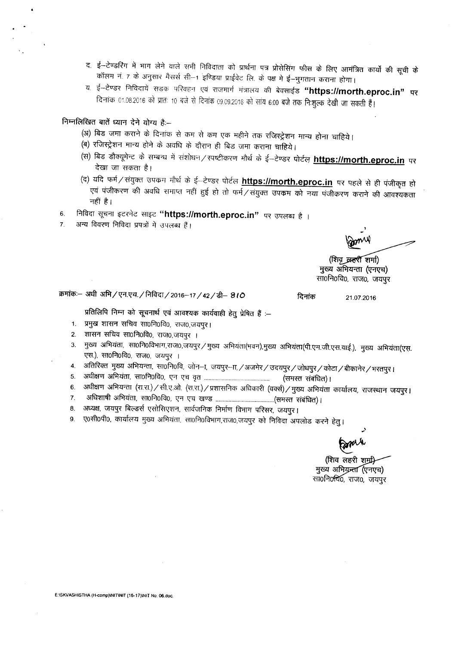- द. ई—टेण्डरिंग में भाग लेने वाले सभी निविदाता को प्रार्थना पत्र प्रोसेसिंग फीस के लिए आमंत्रित कार्यो की सूची के कॉलम नं. 7 के अनुसार मैसर्स सी--1 इण्डिया प्राईवेट लि. के पक्ष मे ई--भुगतान कराना होगा।
- य. ई—टेण्डर निविदायें सडक परिवहन एवं राजमार्ग मंत्रालय की बेवसाईड **"https://morth.eproc.in" पर** दिनांक 01.08.2016 को प्रातः 10 बजे से दिनांक 09.09.2016 को सांय 6.00 बजे तक निःशुल्क देखी जा सकती हैं।

<u>निम्नलिखित बातें ध्यान देने योग्य है</u>:--

- (अ) बिड जमा कराने के दिनांक से कम से कम एक महीने तक रजिस्ट्रेशन मान्य होना चाहिये।
- (ब) रजिस्ट्रेशन मान्य होने के अवधि के दौरान ही बिड जमा कराना चाहिये।
- (स) बिड डौक्यूमेन्ट के सम्बन्ध में संशोधन / स्पष्टींकरण मौर्थ के ई—टेण्डर पोर्टल **https://morth.eproc.in** पर देखा जा सकता है।
- (द) यदि फर्म / संयुक्त उपक्रम मौर्थ के ई—टेण्डर पोर्टल **https://morth.eproc.in** पर पहले से ही पंजीकृत हो एवं पंजीकरण की अवधि समाप्त नहीं हुई हो तो फर्म*/* संयुक्त उपक्रम को नया पंजीकरण कराने की आवश्यकता नहीं है।
- 6. निविदा सूचना इटरनेट साइट **"https://morth.eproc.in"** पर उपलब्ध है ।<br>7. अन्य विवरण निविदा प्रपत्रों में उपलब्ध हैं।
- अन्य विवरण निविदा प्रपत्रों में उपलब्ध हैं।

-

(शिवृ व्रहर्श शर्मा) मुख्य अभियन्ता (एनएच) सा0नि0वि0, राज0, जयपुर

क्रमांकः– अधी अभि / एन.एच. / निविदा / 2016-17 / 42 / डी- 810 <sup>21.07.2016</sup> 21.07.2016

प्रतिलिपि निम्न को सूचनार्थ एवं आवश्यक कार्यवाही हेतु प्रेषित हैं :--

- 1. प्रमुख शासन सचिव सा0नि0वि0, राज0,जयपुर।
- 2. शासन सचिव सा0नि0वि0, राज0,जयपुर ।
- 3. : मुख्य अभियंता, सा0नि0विभाग,राज0,जयपुर / मुख्य अभियंता(भवन),मुख्य अभियंता(पी.एम.जी.एस.वाई.), मुख्य अभियंता(एस. एस.), सा0नि0वि0, राज0, जयपुर ।
- 4. जितिरिक्त मुख्य अभियन्ता, सा0नि0वि, जोन–ा, जयपुर–ाा,/अजमेर/उदयपुर/जोधपुर/कोटा/बीकानेर/भरतपुर।
- 5. ~1ffUl 3lfi1mrr. "fTToPlofcto.~ <sup>~</sup> ¥ (WffiJ -mttmr) <sup>I</sup>
- 6. अधीक्षण अभियन्ता (रा.रा.) / सी.ए.ओ. (रा.रा.) / प्रशासनिक अधिकारी (वर्क्स) / मुख्य अभियंता कार्यालय, राजस्थान जयपुर।
- 7. ~ ~. "fTToPlofcto.~ ~ ~ (WffiJ ~) I
- 8. अध्यक्ष, जयपुर बिल्डर्स एसोसिएशन, सार्वजनिक निर्माण विभाग परिसर, जयपुर।
- 9. ए0सी0पी0, कार्यालय मुख्य अभियंता. सा0नि0विभाग,राज0,जयपुर को निविदा अपलोड करने हेतु।

(शिव लहरी शमु्री मुख्य अभियन्ता (एनएच) सा0नि0यि0, राज0, जयपुर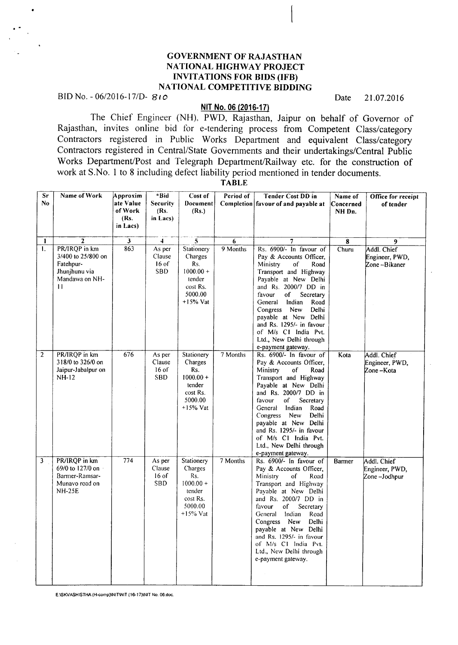# GOVERNMENT OF RAJASTHAN NATIONAL HIGHWAY PROJECT INVITATIONS FOR BIDS (IFB) NATIONAL COMPETITIVE BIDDING

BID No. - 06/2016-17/D- 8(0<sup>o</sup> Date 21.07.2016

·.

## NIT No. 06 (2016·17)

The Chief Engineer (NH), PWD, Rajasthan, Jaipur on behalf of Governor of Rajasthan, invites online bid for e-tendering process from Competent Class/category Contractors registered in Public Works Department and equivalent Class/category Contractors registered in Central/State Governments and their undertakings/Central Public Works Department/Post and Telegraph Department/Railway etc. for the construction of work at S.No. 1 to 8 including defect liability period mentioned in tender documents.

TABLE

| Sr<br>No.      | Name of Work                                                                                         | Approxim<br>ate Value<br>of Work<br>(Rs.<br>in Lacs) | *Bid<br><b>Security</b><br>(Rs.<br>in Lacs) | Cost of<br>Document<br>(Rs.)                                                                | Period of | <b>Tender Cost DD in</b><br>Completion favour of and payable at                                                                                                                                                                                                                                                                                                       | Name of<br>Concerned<br>NH Dn. | Office for receipt<br>of tender               |
|----------------|------------------------------------------------------------------------------------------------------|------------------------------------------------------|---------------------------------------------|---------------------------------------------------------------------------------------------|-----------|-----------------------------------------------------------------------------------------------------------------------------------------------------------------------------------------------------------------------------------------------------------------------------------------------------------------------------------------------------------------------|--------------------------------|-----------------------------------------------|
| 1              | $\overline{2}$                                                                                       | $\overline{\mathbf{3}}$                              | $\frac{1}{4}$                               | $\overline{5}$                                                                              | 6         | $\overline{7}$                                                                                                                                                                                                                                                                                                                                                        | 8                              | 9                                             |
| I.             | PR/IRQP in km<br>3/400 to 25/800 on<br>Fatehpur-<br>Jhunjhunu via<br>Mandawa on NH-<br>$\mathbf{11}$ | 863                                                  | As per<br>Clause<br>$16$ of<br><b>SBD</b>   | Stationery<br>Charges<br>Rs.<br>$1000.00 +$<br>tender<br>cost Rs.<br>5000.00<br>$+15%$ Vat  | 9 Months  | Rs. 6900/- In favour of<br>Pay & Accounts Officer.<br>Ministry<br>of<br>Road<br>Transport and Highway<br>Payable at New Delhi<br>and Rs. 2000/7 DD in<br>Secretary<br>favour<br>of<br>Indian<br>General<br>Road<br>Congress New<br>Delhi<br>payable at New Delhi<br>and Rs. 1295/- in favour<br>of M/s C1 India Pvt.<br>Ltd., New Delhi through<br>e-payment gateway. | Churu                          | Addl. Chief<br>Engineer, PWD,<br>Zone-Bikaner |
| $\overline{2}$ | PR/IROP in km<br>318/0 to 326/0 on<br>Jaipur-Jabalpur on<br>NH-12                                    | 676                                                  | As per<br>Clause<br>$16$ of<br><b>SBD</b>   | Stationery<br>Charges<br>Rs.<br>$1000.00 +$<br>tender<br>cost Rs.<br>5000.00<br>$+15%$ Vat  | 7 Months  | Rs. 6900/- In favour of<br>Pay & Accounts Officer.<br>Ministry<br>of<br>Road<br>Transport and Highway<br>Payable at New Delhi<br>and Rs. 2000/7 DD in<br>of<br>Secretary<br>favour<br>General<br>Indian<br>Road<br>Congress New<br>Delhi<br>payable at New Delhi<br>and Rs. 1295/- in favour<br>of M/s C1 India Pvt.<br>Ltd., New Delhi through<br>e-payment gateway. | Kota                           | Addl. Chief<br>Engineer, PWD,<br>Zone-Kota    |
| 3              | PR/IRQP in km<br>69/0 to 127/0 on<br>Barmer-Ramsar-<br>Munavo road on<br><b>NH-25E</b>               | 774                                                  | As per<br>Clause<br>$16$ of<br>SBD          | Stationery<br>Charges<br>Rs.<br>$1000.00 +$<br>tender<br>cost Rs.<br>5000.00<br>$+15\%$ Vat | 7 Months  | Rs. 6900/- In favour of<br>Pay & Accounts Officer,<br>Ministry<br>of<br>Road<br>Transport and Highway<br>Payable at New Delhi<br>and Rs. 2000/7 DD in<br>favour<br>of<br>Secretary<br>General Indian<br>Road<br>Congress New<br>Delhi<br>payable at New Delhi<br>and Rs. 1295/- in favour<br>of M/s C1 India Pvt.<br>Ltd., New Delhi through<br>e-payment gateway.    | Barmer                         | Addl. Chief<br>Engineer, PWD,<br>Zone-Jodhpur |

E:ISKVASHISTHA (H-comp)INIT\NIT (16-17)INIT No. 06.doc.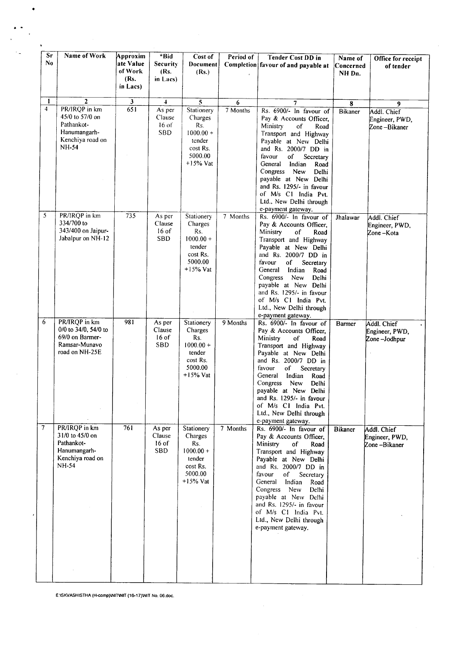| Sr<br>No     | Name of Work                     | Approxim<br>ate Value | *Bid<br><b>Security</b> | Cost of<br>Document     | Period of | Tender Cost DD in<br>Completion favour of and payable at | Name of<br>Concerned | Office for receipt<br>of tender |
|--------------|----------------------------------|-----------------------|-------------------------|-------------------------|-----------|----------------------------------------------------------|----------------------|---------------------------------|
|              |                                  | of Work               | (Rs.                    | (Rs.)                   |           |                                                          | NH Dn.               |                                 |
|              |                                  | (Rs.<br>in Lacs)      | in Lacs)                |                         |           |                                                          |                      |                                 |
| $\mathbf{I}$ | $\overline{2}$                   | $\mathbf{3}$          | $\overline{\mathbf{4}}$ | $\overline{\mathbf{5}}$ | 6         | 7                                                        | 8                    | 9                               |
| 4            | PR/IRQP in km                    | 651                   | As per                  | Stationery              | 7 Months  | Rs. 6900/- In favour of                                  | <b>Bikaner</b>       | Addl. Chief                     |
|              | 45/0 to 57/0 on                  |                       | Clause                  | Charges                 |           | Pay & Accounts Officer,                                  |                      | Engineer, PWD,                  |
|              | Pathankot-<br>Hanumangarh-       |                       | $16$ of<br><b>SBD</b>   | Rs.                     |           | Ministry<br>of<br>Road                                   |                      | Zone-Bikaner                    |
|              | Kenchiya road on                 |                       |                         | $1000.00 +$<br>tender   |           | Transport and Highway<br>Payable at New Delhi            |                      |                                 |
|              | NH-54                            |                       |                         | cost Rs.                |           | and Rs. 2000/7 DD in                                     |                      |                                 |
|              |                                  |                       |                         | 5000.00                 |           | favour<br>of<br>Secretary                                |                      |                                 |
|              |                                  |                       |                         | $+15%$ Vat              |           | General<br>Indian<br>Road                                |                      |                                 |
|              |                                  |                       |                         |                         |           | Congress<br>New<br>Delhi<br>payable at New Delhi         |                      |                                 |
|              |                                  |                       |                         |                         |           | and Rs. 1295/- in favour                                 |                      |                                 |
|              |                                  |                       |                         |                         |           | of M/s C1 India Pvt.                                     |                      |                                 |
|              |                                  |                       |                         |                         |           | Ltd., New Delhi through                                  |                      |                                 |
| 5            | PR/IRQP in km                    | 735                   | As per                  | Stationery              | 7 Months  | e-payment gateway.<br>Rs. 6900/- In favour of            | Jhalawar             | Addl. Chief                     |
|              | 334/700 to                       |                       | Clause                  | Charges                 |           | Pay & Accounts Officer,                                  |                      | Engineer, PWD,                  |
|              | 343/400 on Jaipur-               |                       | $16$ of                 | Rs.                     |           | Ministry<br>of<br>Road                                   |                      | Zone-Kota                       |
|              | Jabalpur on NH-12                |                       | <b>SBD</b>              | $1000.00 +$             |           | Transport and Highway                                    |                      |                                 |
|              |                                  |                       |                         | tender<br>cost Rs.      |           | Payable at New Delhi<br>and Rs. 2000/7 DD in             |                      |                                 |
|              |                                  |                       |                         | 5000.00                 |           | favour<br>Secretary<br>of                                |                      |                                 |
|              |                                  |                       |                         | $+15%$ Vat              |           | General<br>Indian<br>Road                                |                      |                                 |
|              |                                  |                       |                         |                         |           | Congress<br>New<br>Delhi                                 |                      |                                 |
|              |                                  |                       |                         |                         |           | payable at New Delhi<br>and Rs. 1295/- in favour         |                      |                                 |
|              |                                  |                       |                         |                         |           | of M/s C1 India Pvt.                                     |                      |                                 |
|              |                                  |                       |                         |                         |           | Ltd., New Delhi through                                  |                      |                                 |
| 6            | PR/IRQP in km                    | 981                   | As per                  |                         | 9 Months  | e-payment gateway.                                       |                      |                                 |
|              | 0/0 to 34/0, 54/0 to             |                       | Clause                  | Stationery<br>Charges   |           | Rs. 6900/- In favour of<br>Pay & Accounts Officer,       | <b>Barmer</b>        | Addl. Chief<br>Engineer, PWD,   |
|              | 69/0 on Barmer-                  |                       | $16$ of                 | Rs.                     |           | Ministry<br>of<br>Road                                   |                      | Zone-Jodhpur                    |
|              | Ramsar-Munavo<br>road on NH-25E  |                       | <b>SBD</b>              | $1000.00 +$             |           | Transport and Highway                                    |                      |                                 |
|              |                                  |                       |                         | tender<br>cost Rs.      |           | Payable at New Delhi<br>and Rs. 2000/7 DD in             |                      |                                 |
|              |                                  |                       |                         | 5000.00                 |           | favour<br>Secretary<br>оf                                |                      |                                 |
|              |                                  |                       |                         | $+15%$ Vat              |           | General<br>Indian<br>Road                                |                      |                                 |
|              |                                  |                       |                         |                         |           | Congress<br>New<br>Delhi                                 |                      |                                 |
|              |                                  |                       |                         |                         |           | payable at New Delhi<br>and Rs. 1295/- in favour         |                      |                                 |
|              |                                  |                       |                         |                         |           | of M/s C1 India Pvt.                                     |                      |                                 |
|              |                                  |                       |                         |                         |           | Ltd., New Delhi through                                  |                      |                                 |
| 7            | PR/IRQP in km                    | 761                   | As per                  | Stationery              | 7 Months  | e-payment gateway.<br>Rs. 6900/- In favour of            | <b>Bikaner</b>       | Addl. Chief                     |
|              | 31/0 to 45/0 on                  |                       | Clause                  | Charges                 |           | Pay & Accounts Officer,                                  |                      | Engineer, PWD,                  |
|              | Pathankot-                       |                       | $16$ of                 | Rs.                     |           | Ministry<br><sub>of</sub><br>Road                        |                      | Zone-Bikaner                    |
|              | Hanumangarh-                     |                       | <b>SBD</b>              | $1000.00 +$             |           | Transport and Highway                                    |                      |                                 |
|              | Kenchiya road on<br><b>NH-54</b> |                       |                         | tender<br>cost Rs.      |           | Payable at New Delhi<br>and Rs. 2000/7 DD in             |                      |                                 |
|              |                                  |                       |                         | 5000.00                 |           | favour<br>of<br>Secretary                                |                      |                                 |
|              |                                  |                       |                         | $+15%$ Vat              |           | General<br>Indian<br>Road                                |                      |                                 |
|              |                                  |                       |                         |                         |           | Congress New<br>Delhi                                    |                      |                                 |
|              |                                  |                       |                         |                         |           | payable at New Delhi<br>and Rs. 1295/- in favour         |                      |                                 |
|              |                                  |                       |                         |                         |           | of M/s C1 India Pvt.                                     |                      |                                 |
|              |                                  |                       |                         |                         |           | Ltd., New Delhi through                                  |                      |                                 |
|              |                                  |                       |                         |                         |           | e-payment gateway.                                       |                      |                                 |
|              |                                  |                       |                         |                         |           |                                                          |                      |                                 |
|              |                                  |                       |                         |                         |           |                                                          |                      |                                 |
|              |                                  |                       |                         |                         |           |                                                          |                      |                                 |
|              |                                  |                       |                         |                         |           |                                                          |                      |                                 |
|              |                                  |                       |                         |                         |           |                                                          |                      |                                 |

 $\sim$ 

E:ISKVASHISTHA (H-comp)\NIT\NIT (16-17)\NIT No. 06.doc.

 $\cdot$ 

•

.-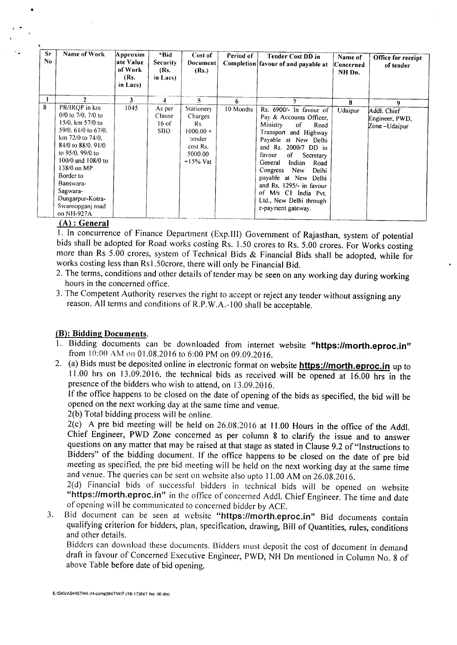| Sr<br>No | Name of Work                                                                                                                                                                                                                                                                              | Approxim<br>ate Value<br>of Work<br>(Rs.<br>in Lacs) | *Bid<br><b>Security</b><br>(Rs.<br>in Lacs) | Cost of<br>Document<br>(Rs.)                                                                | Period of | Tender Cost DD in<br>Completion favour of and payable at                                                                                                                                                                                                                                                                                                                        | Name of<br>Concerned<br>NH Dn. | Office for receipt<br>of tender               |
|----------|-------------------------------------------------------------------------------------------------------------------------------------------------------------------------------------------------------------------------------------------------------------------------------------------|------------------------------------------------------|---------------------------------------------|---------------------------------------------------------------------------------------------|-----------|---------------------------------------------------------------------------------------------------------------------------------------------------------------------------------------------------------------------------------------------------------------------------------------------------------------------------------------------------------------------------------|--------------------------------|-----------------------------------------------|
|          | $\overline{2}$                                                                                                                                                                                                                                                                            | 3                                                    |                                             | 5.                                                                                          | 6         |                                                                                                                                                                                                                                                                                                                                                                                 | 8                              | 9                                             |
| 8        | PR/IRQP in km<br>$0/0$ to $7/0$ , $7/0$ to<br>$15/0$ , km $57/0$ to<br>59/0, 61/0 to 67/0.<br>km 72/0 to 74/0.<br>84/0 to 88/0, 91/0<br>to 95/0, 99/0 to<br>100/0 and 108/0 to<br>138/0 on MP<br>Border to<br>Banswara-<br>Sagwara-<br>Dungarpur-Kotra-<br>Swaroopganj road<br>on NH-927A | 1045                                                 | As per<br>Clause<br>$16$ of<br><b>SBD</b>   | Stationery<br>Charges<br>Rs.<br>$1000.00 +$<br>tender<br>cost Rs.<br>5000.00<br>$+15\%$ Vat | 10 Months | Rs. 6900/- In favour of<br>Pay & Accounts Officer,<br>Ministry<br>of<br>Road<br>Transport and Highway<br>Payable at New Delhi<br>and Rs. 2000/7 DD in<br>favour<br>of<br>Secretary<br>General<br>Indian<br>Road<br>Congress<br><b>New</b><br>Delhi<br>payable at New Delhi<br>and Rs. 1295/- in favour<br>of M/s C1 India Pvt.<br>Ltd., New Delhi through<br>e-payment gateway. | Udaipur                        | Addl. Chief<br>Engineer, PWD,<br>Zone-Udaipur |

#### (A) : General

I. In concurrence of Finance Department (Exp.lll) Government of Rajasthan, system of potential bids shall be adopted for Road works costing Rs. 1.50 crores to Rs. 5.00 crores. For Works costing more than Rs 5.00 crores, system of Technical Bids & Financial Bids shall be adopted, while for works costing less than Rs1.50crore, there will only be Financial Bid.

- 2. The terms, conditions and other details of tender may be seen on any working day during working hours in the concerned office.
- 3. The Competent Authority reserves the right to accept or reject any tender without assigning any reason. All terms and conditions of R.P.W.A.-100 shall be acceptable.

#### (B): Bidding Documents.

- Bidding documents can be downloaded from internet website "https://morth.eproc.in" from 10:00 AM on 01.08.2016 to 6:00 PM on 09.09.2016.
- 2. (a) Bids must be deposited online in electronic format on website **https://morth.eproc.in** up to 11.00 hrs on 13.09.2016. the technical bids as received will be opened at 16.00 hrs in the presence of the bidders who wish to attend, on 13.09.2016.

If the office happens to be closed on the date of opening of the bids as specified, the bid will be opened on the next working day at the same time and venue.

2(b) Total bidding process will be online.

2(c) A pre bid meeting will be held on 26.08.2016 at 11.00 Hours in the office of the Addl. Chief Engineer, PWD Zone concerned as per column 8 to clarify the issue and to answer questions on any matter that may be raised at that stage as stated in Clause 9.2 of "Instructions to Bidders" of the bidding document. If the office happens to be closed on the date of pre bid meeting as specified, the pre bid meeting will be held on the next working day at the same time and venue. The queries can be sent on website also upto 11.00AM on 26.08.20 I6.

2(d) Financial bids of successful bidders in technical bids will be opened on website "https://morth.eproc.in" in the office of concerned Addl. Chief Engineer. The time and date of opening will be communicated to concerned bidder by ACE.

3. Bid document can be seen at website "https://morth.eproc.in" Bid documents contain qualifying criterion for bidders, plan, specification, drawing, Bill of Quantities, rules, conditions and other details.

Bidders can download these documents. Bidders must deposit the cost of document in demand draft in favour of Concerned Executive Engineer, PWD, NH On mentioned in Column No.8 of above Table before date of bid opening.